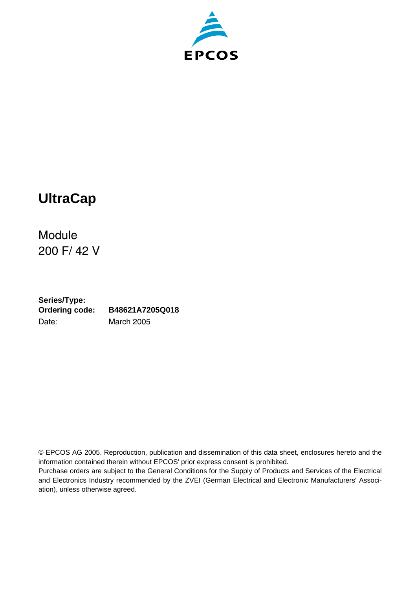



Module 200 F/ 42 V

**Series/Type: Ordering code: B48621A7205Q018** Date: March 2005

© EPCOS AG 2005. Reproduction, publication and dissemination of this data sheet, enclosures hereto and the information contained therein without EPCOS' prior express consent is prohibited.

Purchase orders are subject to the General Conditions for the Supply of Products and Services of the Electrical and Electronics Industry recommended by the ZVEI (German Electrical and Electronic Manufacturers' Association), unless otherwise agreed.